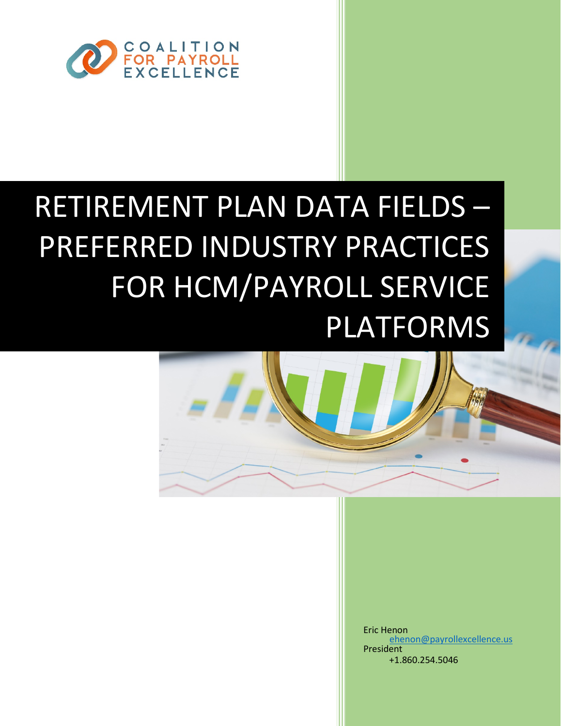

# RETIREMENT PLAN DATA FIELDS – PREFERRED INDUSTRY PRACTICES FOR HCM/PAYROLL SERVICE PLATFORMS



Eric Henon President [ehenon@payrollexcellence.us](mailto:ehenon@payrollexcellence.us) +1.860.254.5046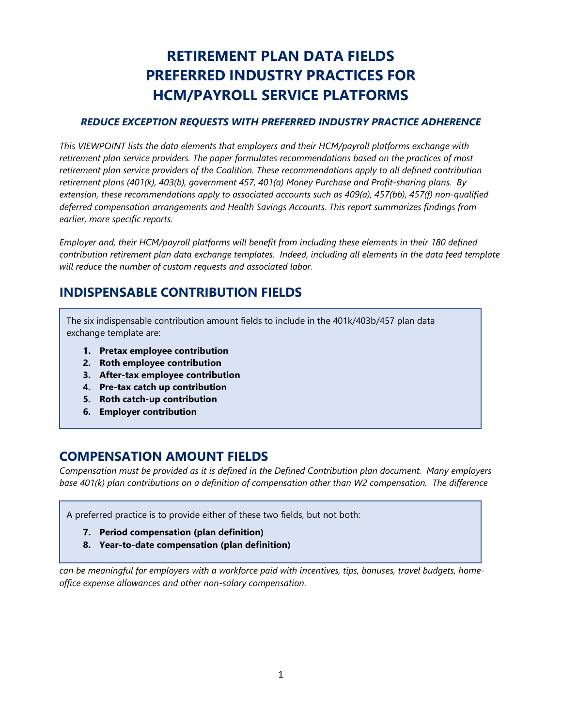# **RETIREMENT PLAN DATA FIELDS PREFERRED INDUSTRY PRACTICES FOR HCM/PAYROLL SERVICE PLATFORMS**

#### *REDUCE EXCEPTION REQUESTS WITH PREFERRED INDUSTRY PRACTICE ADHERENCE*

*This VIEWPOINT lists the data elements that employers and their HCM/payroll platforms exchange with retirement plan service providers. The paper formulates recommendations based on the practices of most retirement plan service providers of the Coalition. These recommendations apply to all defined contribution retirement plans (401(k), 403(b), government 457, 401(a) Money Purchase and Profit-sharing plans. By extension, these recommendations apply to associated accounts such as 409(a), 457(bb), 457(f) non-qualified deferred compensation arrangements and Health Savings Accounts. This report summarizes findings from earlier, more specific reports.*

*Employer and, their HCM/payroll platforms will benefit from including these elements in their 180 defined contribution retirement plan data exchange templates. Indeed, including all elements in the data feed template will reduce the number of custom requests and associated labor.*

## **INDISPENSABLE CONTRIBUTION FIELDS**

The six indispensable contribution amount fields to include in the 401k/403b/457 plan data exchange template are:

- **1. Pretax employee contribution**
- **2. Roth employee contribution**
- **3. After-tax employee contribution**
- **4. Pre-tax catch up contribution**
- **5. Roth catch-up contribution**
- **6. Employer contribution**

#### **COMPENSATION AMOUNT FIELDS**

*Compensation must be provided as it is defined in the Defined Contribution plan document. Many employers base 401(k) plan contributions on a definition of compensation other than W2 compensation. The difference* 

A preferred practice is to provide either of these two fields, but not both:

- **7. Period compensation (plan definition)**
- **8. Year-to-date compensation (plan definition)**

*can be meaningful for employers with a workforce paid with incentives, tips, bonuses, travel budgets, homeoffice expense allowances and other non-salary compensation*.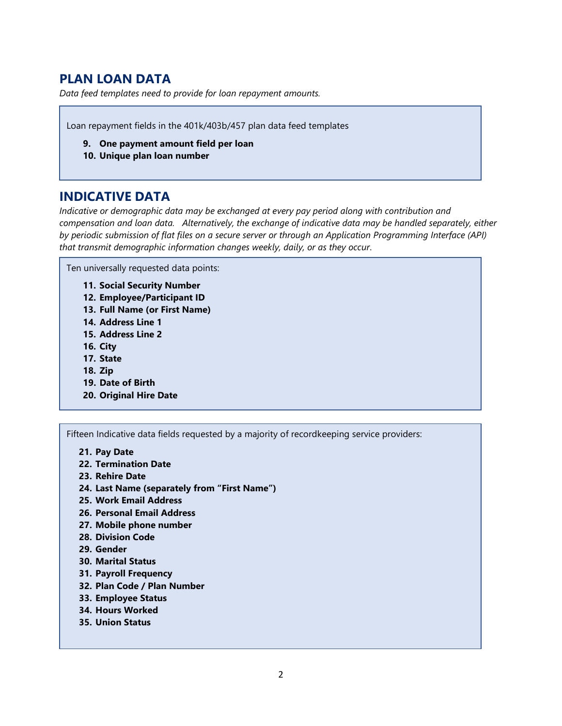# **PLAN LOAN DATA**

*Data feed templates need to provide for loan repayment amounts.* 

Loan repayment fields in the 401k/403b/457 plan data feed templates

- **9. One payment amount field per loan**
- **10. Unique plan loan number**

#### **INDICATIVE DATA**

*Indicative or demographic data may be exchanged at every pay period along with contribution and compensation and loan data. Alternatively, the exchange of indicative data may be handled separately, either by periodic submission of flat files on a secure server or through an Application Programming Interface (API) that transmit demographic information changes weekly, daily, or as they occur*.

Ten universally requested data points:

- **11. Social Security Number**
- **12. Employee/Participant ID**
- **13. Full Name (or First Name)**
- **14. Address Line 1**
- **15. Address Line 2**
- **16. City**
- **17. State**
- **18. Zip**
- **19. Date of Birth**
- **20. Original Hire Date**

Fifteen Indicative data fields requested by a majority of recordkeeping service providers:

- **21. Pay Date**
- **22. Termination Date**
- **23. Rehire Date**
- **24. Last Name (separately from "First Name")**
- **25. Work Email Address**
- **26. Personal Email Address**
- **27. Mobile phone number**
- **28. Division Code**
- **29. Gender**
- **30. Marital Status**
- **31. Payroll Frequency**
- **32. Plan Code / Plan Number**
- **33. Employee Status**
- **34. Hours Worked**
- **35. Union Status**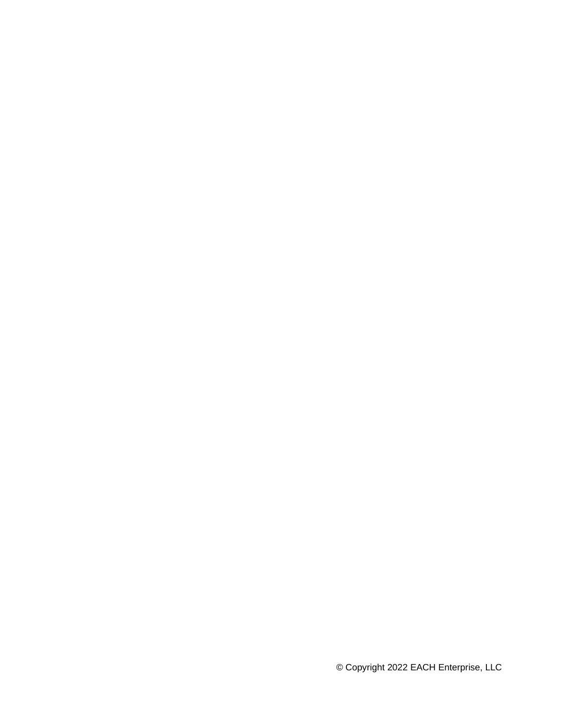© Copyright 2022 EACH Enterprise, LLC